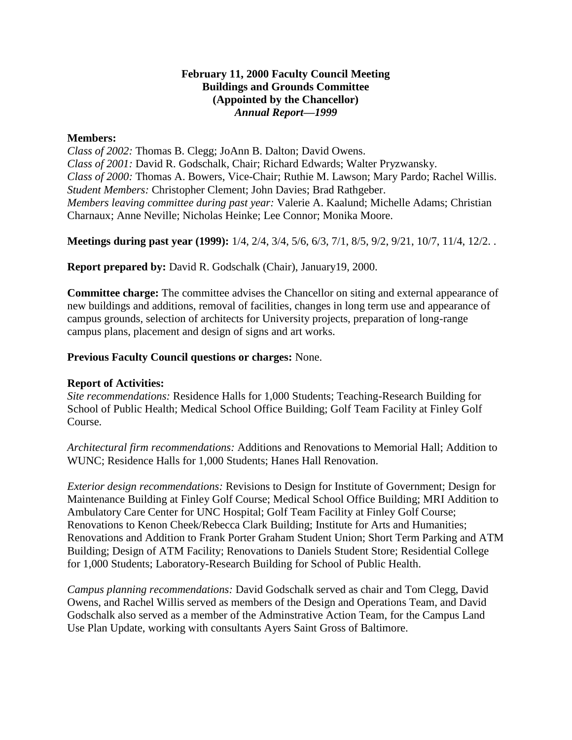## **February 11, 2000 Faculty Council Meeting Buildings and Grounds Committee (Appointed by the Chancellor)** *Annual Report—1999*

## **Members:**

*Class of 2002:* Thomas B. Clegg; JoAnn B. Dalton; David Owens. *Class of 2001:* David R. Godschalk, Chair; Richard Edwards; Walter Pryzwansky. *Class of 2000:* Thomas A. Bowers, Vice-Chair; Ruthie M. Lawson; Mary Pardo; Rachel Willis. *Student Members:* Christopher Clement; John Davies; Brad Rathgeber. *Members leaving committee during past year:* Valerie A. Kaalund; Michelle Adams; Christian Charnaux; Anne Neville; Nicholas Heinke; Lee Connor; Monika Moore.

**Meetings during past year (1999):** 1/4, 2/4, 3/4, 5/6, 6/3, 7/1, 8/5, 9/2, 9/21, 10/7, 11/4, 12/2. .

**Report prepared by:** David R. Godschalk (Chair), January19, 2000.

**Committee charge:** The committee advises the Chancellor on siting and external appearance of new buildings and additions, removal of facilities, changes in long term use and appearance of campus grounds, selection of architects for University projects, preparation of long-range campus plans, placement and design of signs and art works.

## **Previous Faculty Council questions or charges:** None.

## **Report of Activities:**

*Site recommendations:* Residence Halls for 1,000 Students; Teaching-Research Building for School of Public Health; Medical School Office Building; Golf Team Facility at Finley Golf Course.

*Architectural firm recommendations:* Additions and Renovations to Memorial Hall; Addition to WUNC; Residence Halls for 1,000 Students; Hanes Hall Renovation.

*Exterior design recommendations:* Revisions to Design for Institute of Government; Design for Maintenance Building at Finley Golf Course; Medical School Office Building; MRI Addition to Ambulatory Care Center for UNC Hospital; Golf Team Facility at Finley Golf Course; Renovations to Kenon Cheek/Rebecca Clark Building; Institute for Arts and Humanities; Renovations and Addition to Frank Porter Graham Student Union; Short Term Parking and ATM Building; Design of ATM Facility; Renovations to Daniels Student Store; Residential College for 1,000 Students; Laboratory-Research Building for School of Public Health.

*Campus planning recommendations:* David Godschalk served as chair and Tom Clegg, David Owens, and Rachel Willis served as members of the Design and Operations Team, and David Godschalk also served as a member of the Adminstrative Action Team, for the Campus Land Use Plan Update, working with consultants Ayers Saint Gross of Baltimore.